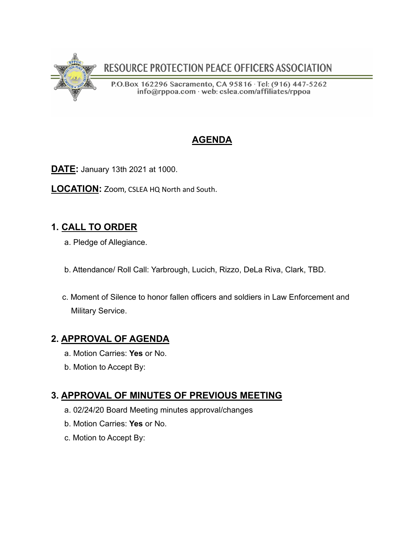

RESOURCE PROTECTION PEACE OFFICERS ASSOCIATION

P.O.Box 162296 Sacramento, CA 95816 · Tel: (916) 447-5262 info@rppoa.com web: cslea.com/affiliates/rppoa

# **AGENDA**

**DATE:** January 13th 2021 at 1000.

**LOCATION:** Zoom, CSLEA HQ North and South.

# **1. CALL TO ORDER**

- a. Pledge of Allegiance.
- b. Attendance/ Roll Call: Yarbrough, Lucich, Rizzo, DeLa Riva, Clark, TBD.
- c. Moment of Silence to honor fallen officers and soldiers in Law Enforcement and Military Service.

## **2. APPROVAL OF AGENDA**

- a. Motion Carries: **Yes** or No.
- b. Motion to Accept By:

## **3. APPROVAL OF MINUTES OF PREVIOUS MEETING**

- a. 02/24/20 Board Meeting minutes approval/changes
- b. Motion Carries: **Yes** or No.
- c. Motion to Accept By: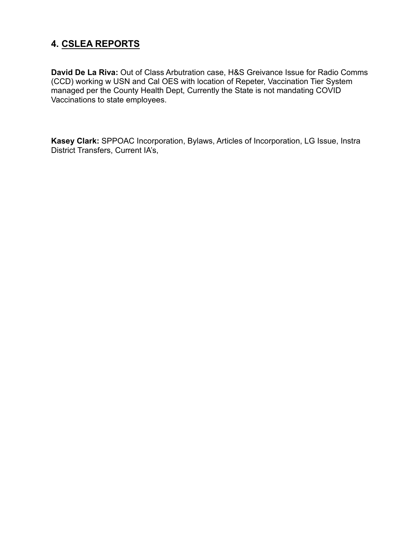## **4. CSLEA REPORTS**

**David De La Riva:** Out of Class Arbutration case, H&S Greivance Issue for Radio Comms (CCD) working w USN and Cal OES with location of Repeter, Vaccination Tier System managed per the County Health Dept, Currently the State is not mandating COVID Vaccinations to state employees.

**Kasey Clark:** SPPOAC Incorporation, Bylaws, Articles of Incorporation, LG Issue, Instra District Transfers, Current IA's,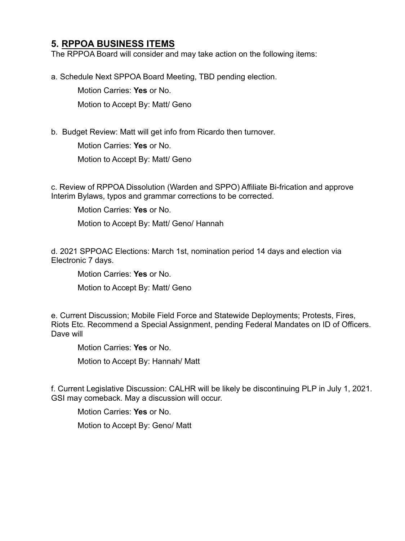#### **5. RPPOA BUSINESS ITEMS**

The RPPOA Board will consider and may take action on the following items:

a. Schedule Next SPPOA Board Meeting, TBD pending election.

 Motion Carries: **Yes** or No. Motion to Accept By: Matt/ Geno

b. Budget Review: Matt will get info from Ricardo then turnover.

Motion Carries: **Yes** or No.

Motion to Accept By: Matt/ Geno

c. Review of RPPOA Dissolution (Warden and SPPO) Affiliate Bi-frication and approve Interim Bylaws, typos and grammar corrections to be corrected.

Motion Carries: **Yes** or No.

Motion to Accept By: Matt/ Geno/ Hannah

d. 2021 SPPOAC Elections: March 1st, nomination period 14 days and election via Electronic 7 days.

Motion Carries: **Yes** or No.

Motion to Accept By: Matt/ Geno

e. Current Discussion; Mobile Field Force and Statewide Deployments; Protests, Fires, Riots Etc. Recommend a Special Assignment, pending Federal Mandates on ID of Officers. Dave will

Motion Carries: **Yes** or No.

Motion to Accept By: Hannah/ Matt

f. Current Legislative Discussion: CALHR will be likely be discontinuing PLP in July 1, 2021. GSI may comeback. May a discussion will occur.

Motion Carries: **Yes** or No.

Motion to Accept By: Geno/ Matt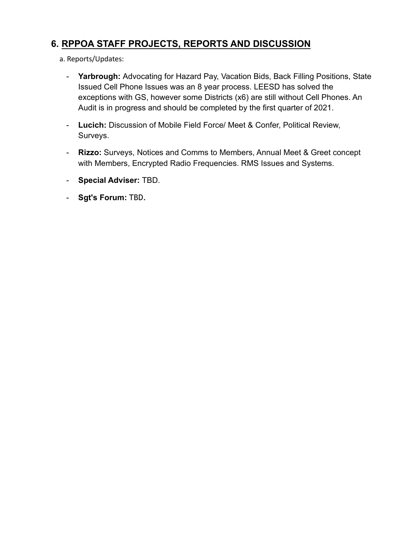## **6. RPPOA STAFF PROJECTS, REPORTS AND DISCUSSION**

- a. Reports/Updates:
	- **Yarbrough:** Advocating for Hazard Pay, Vacation Bids, Back Filling Positions, State Issued Cell Phone Issues was an 8 year process. LEESD has solved the exceptions with GS, however some Districts (x6) are still without Cell Phones. An Audit is in progress and should be completed by the first quarter of 2021.
	- **Lucich:** Discussion of Mobile Field Force/ Meet & Confer, Political Review, Surveys.
	- **Rizzo:** Surveys, Notices and Comms to Members, Annual Meet & Greet concept with Members, Encrypted Radio Frequencies. RMS Issues and Systems.
	- **Special Adviser:** TBD.
	- **Sgt's Forum:** TBD.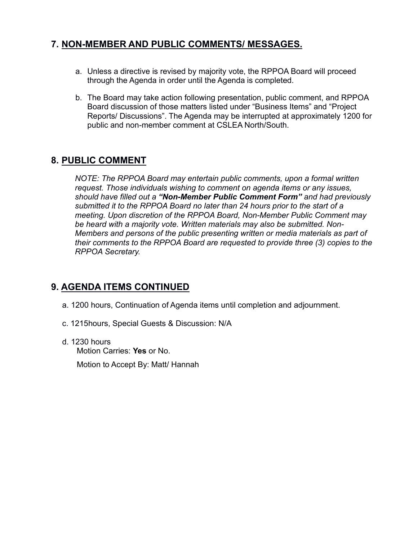### **7. NON-MEMBER AND PUBLIC COMMENTS/ MESSAGES.**

- a. Unless a directive is revised by majority vote, the RPPOA Board will proceed through the Agenda in order until the Agenda is completed.
- b. The Board may take action following presentation, public comment, and RPPOA Board discussion of those matters listed under "Business Items" and "Project Reports/ Discussions". The Agenda may be interrupted at approximately 1200 for public and non-member comment at CSLEA North/South.

## **8. PUBLIC COMMENT**

*NOTE: The RPPOA Board may entertain public comments, upon a formal written request. Those individuals wishing to comment on agenda items or any issues, should have filled out a "Non-Member Public Comment Form" and had previously submitted it to the RPPOA Board no later than 24 hours prior to the start of a meeting. Upon discretion of the RPPOA Board, Non-Member Public Comment may be heard with a majority vote. Written materials may also be submitted. Non-Members and persons of the public presenting written or media materials as part of their comments to the RPPOA Board are requested to provide three (3) copies to the RPPOA Secretary.*

### **9. AGENDA ITEMS CONTINUED**

- a. 1200 hours, Continuation of Agenda items until completion and adjournment.
- c. 1215hours, Special Guests & Discussion: N/A
- d. 1230 hours Motion Carries: **Yes** or No.

Motion to Accept By: Matt/ Hannah